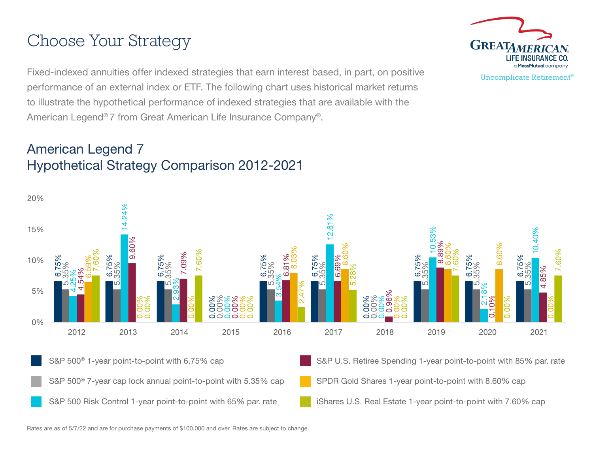# Choose Your Strategy

Fixed-indexed annuities offer indexed strategies that earn interest based, in part, on positive performance of an external index or ETF. The following chart uses historical market returns to illustrate the hypothetical performance of indexed strategies that are available with the American Legend® 7 from Great American Life Insurance Company®.

## American Legend 7 Hypothetical Strategy Comparison 2012-2021

6.75% 6.75% 6.75% 0.00% 6.75% 6.75% 0.00% 6.75% 6.75% 6.75% 5.35% 5.35% 5.35% 0.00% 5.35% 5.35% 0.00% 5.35% 5.35% 5.35% 4.25% 14.24% 2.93% 0.00% 3.54% 12.61% 0.00% 10.53% 2.18% 10.40% 4.54% 9.60% 7.09% 0.00% 6.81% 6.69% 0.96% 8.89% ร<br>ว 4.85% 6.59% 0.00% 0.00% 0.00% 8.03% 8.60% 0.00% 8.60%  $8.60%$ 0.00% 7.60%  $\mathsf{S}$ 7.60% 0.00% 2.47% 5.28% 0.00% 7.60% 0.00% 7.60% 0% 5% 10% 15% 20% 2012 2013 2014 2015 2016 2017 2018 2019 2020 2021 S&P 500<sup>®</sup> 1-year point-to-point with 6.75% cap S&P U.S. Retiree Spending 1-year point-to-point with 85% par. rate S&P 500<sup>®</sup> 7-year cap lock annual point-to-point with 5.35% cap SPDR Gold Shares 1-year point-to-point with 8.60% cap S&P 500 Risk Control 1-year point-to-point with 65% par. rate iShares U.S. Real Estate 1-year point-to-point with 7.60% cap

Rates are as of 5/7/22 and are for purchase payments of \$100,000 and over. Rates are subject to change.



Uncomplicate Retirement®